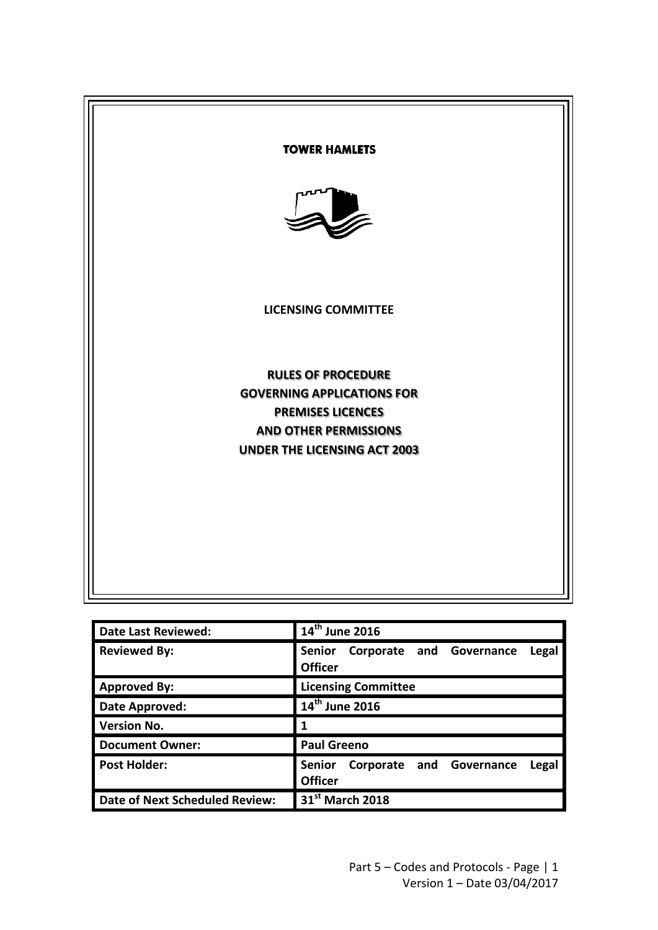

| <b>Date Last Reviewed:</b>     | 14th June 2016                                                       |
|--------------------------------|----------------------------------------------------------------------|
| <b>Reviewed By:</b>            | Corporate and Governance<br><b>Senior</b><br>Legal<br><b>Officer</b> |
| <b>Approved By:</b>            | <b>Licensing Committee</b>                                           |
| <b>Date Approved:</b>          | 14th June 2016                                                       |
| <b>Version No.</b>             |                                                                      |
| <b>Document Owner:</b>         | <b>Paul Greeno</b>                                                   |
| <b>Post Holder:</b>            | Corporate and Governance<br><b>Senior</b><br>Legal<br><b>Officer</b> |
| Date of Next Scheduled Review: | 31 <sup>st</sup> March 2018                                          |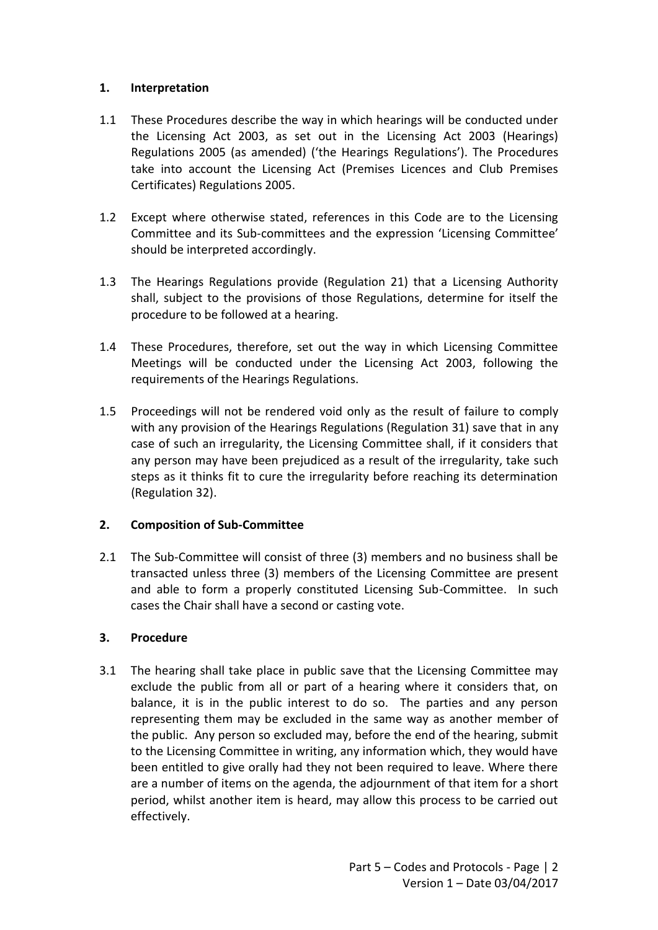## **1. Interpretation**

- 1.1 These Procedures describe the way in which hearings will be conducted under the Licensing Act 2003, as set out in the Licensing Act 2003 (Hearings) Regulations 2005 (as amended) ('the Hearings Regulations'). The Procedures take into account the Licensing Act (Premises Licences and Club Premises Certificates) Regulations 2005.
- 1.2 Except where otherwise stated, references in this Code are to the Licensing Committee and its Sub-committees and the expression 'Licensing Committee' should be interpreted accordingly.
- 1.3 The Hearings Regulations provide (Regulation 21) that a Licensing Authority shall, subject to the provisions of those Regulations, determine for itself the procedure to be followed at a hearing.
- 1.4 These Procedures, therefore, set out the way in which Licensing Committee Meetings will be conducted under the Licensing Act 2003, following the requirements of the Hearings Regulations.
- 1.5 Proceedings will not be rendered void only as the result of failure to comply with any provision of the Hearings Regulations (Regulation 31) save that in any case of such an irregularity, the Licensing Committee shall, if it considers that any person may have been prejudiced as a result of the irregularity, take such steps as it thinks fit to cure the irregularity before reaching its determination (Regulation 32).

## **2. Composition of Sub-Committee**

2.1 The Sub-Committee will consist of three (3) members and no business shall be transacted unless three (3) members of the Licensing Committee are present and able to form a properly constituted Licensing Sub-Committee. In such cases the Chair shall have a second or casting vote.

## **3. Procedure**

3.1 The hearing shall take place in public save that the Licensing Committee may exclude the public from all or part of a hearing where it considers that, on balance, it is in the public interest to do so. The parties and any person representing them may be excluded in the same way as another member of the public. Any person so excluded may, before the end of the hearing, submit to the Licensing Committee in writing, any information which, they would have been entitled to give orally had they not been required to leave. Where there are a number of items on the agenda, the adjournment of that item for a short period, whilst another item is heard, may allow this process to be carried out effectively.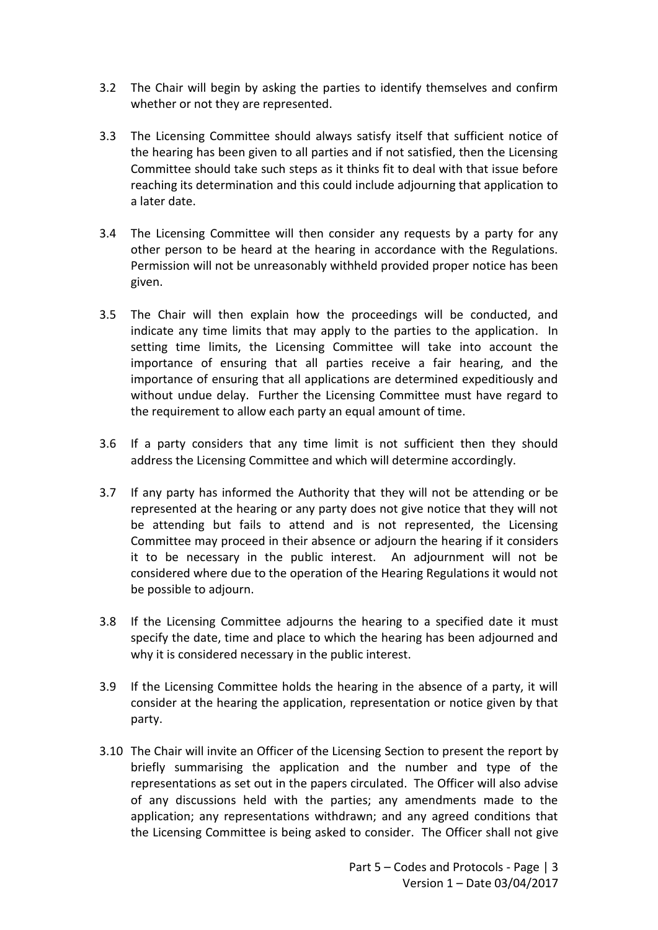- 3.2 The Chair will begin by asking the parties to identify themselves and confirm whether or not they are represented.
- 3.3 The Licensing Committee should always satisfy itself that sufficient notice of the hearing has been given to all parties and if not satisfied, then the Licensing Committee should take such steps as it thinks fit to deal with that issue before reaching its determination and this could include adjourning that application to a later date.
- 3.4 The Licensing Committee will then consider any requests by a party for any other person to be heard at the hearing in accordance with the Regulations. Permission will not be unreasonably withheld provided proper notice has been given.
- 3.5 The Chair will then explain how the proceedings will be conducted, and indicate any time limits that may apply to the parties to the application. In setting time limits, the Licensing Committee will take into account the importance of ensuring that all parties receive a fair hearing, and the importance of ensuring that all applications are determined expeditiously and without undue delay. Further the Licensing Committee must have regard to the requirement to allow each party an equal amount of time.
- 3.6 If a party considers that any time limit is not sufficient then they should address the Licensing Committee and which will determine accordingly.
- 3.7 If any party has informed the Authority that they will not be attending or be represented at the hearing or any party does not give notice that they will not be attending but fails to attend and is not represented, the Licensing Committee may proceed in their absence or adjourn the hearing if it considers it to be necessary in the public interest. An adjournment will not be considered where due to the operation of the Hearing Regulations it would not be possible to adjourn.
- 3.8 If the Licensing Committee adjourns the hearing to a specified date it must specify the date, time and place to which the hearing has been adjourned and why it is considered necessary in the public interest.
- 3.9 If the Licensing Committee holds the hearing in the absence of a party, it will consider at the hearing the application, representation or notice given by that party.
- 3.10 The Chair will invite an Officer of the Licensing Section to present the report by briefly summarising the application and the number and type of the representations as set out in the papers circulated. The Officer will also advise of any discussions held with the parties; any amendments made to the application; any representations withdrawn; and any agreed conditions that the Licensing Committee is being asked to consider. The Officer shall not give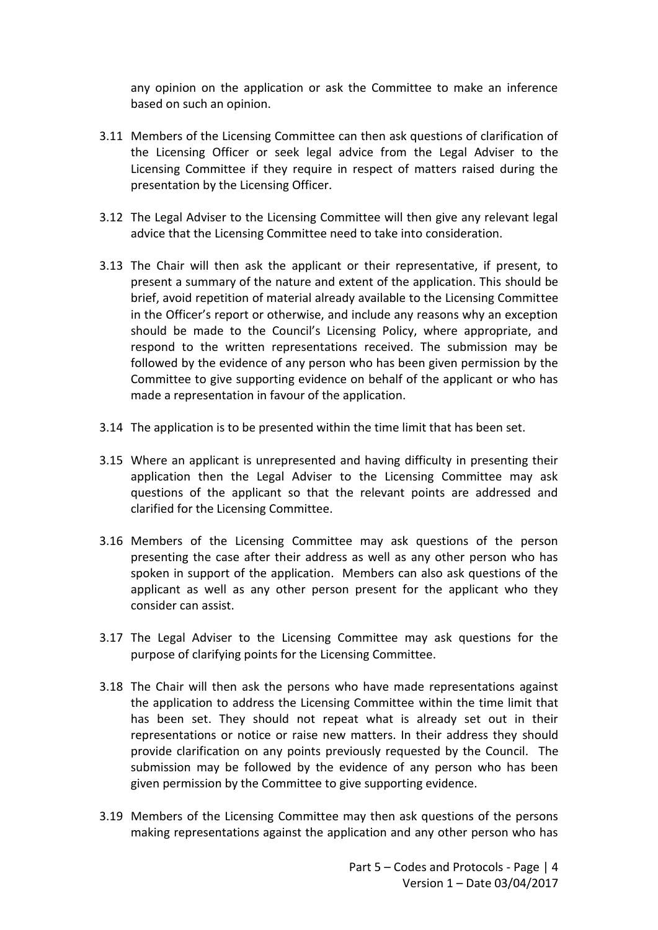any opinion on the application or ask the Committee to make an inference based on such an opinion.

- 3.11 Members of the Licensing Committee can then ask questions of clarification of the Licensing Officer or seek legal advice from the Legal Adviser to the Licensing Committee if they require in respect of matters raised during the presentation by the Licensing Officer.
- 3.12 The Legal Adviser to the Licensing Committee will then give any relevant legal advice that the Licensing Committee need to take into consideration.
- 3.13 The Chair will then ask the applicant or their representative, if present, to present a summary of the nature and extent of the application. This should be brief, avoid repetition of material already available to the Licensing Committee in the Officer's report or otherwise, and include any reasons why an exception should be made to the Council's Licensing Policy, where appropriate, and respond to the written representations received. The submission may be followed by the evidence of any person who has been given permission by the Committee to give supporting evidence on behalf of the applicant or who has made a representation in favour of the application.
- 3.14 The application is to be presented within the time limit that has been set.
- 3.15 Where an applicant is unrepresented and having difficulty in presenting their application then the Legal Adviser to the Licensing Committee may ask questions of the applicant so that the relevant points are addressed and clarified for the Licensing Committee.
- 3.16 Members of the Licensing Committee may ask questions of the person presenting the case after their address as well as any other person who has spoken in support of the application. Members can also ask questions of the applicant as well as any other person present for the applicant who they consider can assist.
- 3.17 The Legal Adviser to the Licensing Committee may ask questions for the purpose of clarifying points for the Licensing Committee.
- 3.18 The Chair will then ask the persons who have made representations against the application to address the Licensing Committee within the time limit that has been set. They should not repeat what is already set out in their representations or notice or raise new matters. In their address they should provide clarification on any points previously requested by the Council. The submission may be followed by the evidence of any person who has been given permission by the Committee to give supporting evidence.
- 3.19 Members of the Licensing Committee may then ask questions of the persons making representations against the application and any other person who has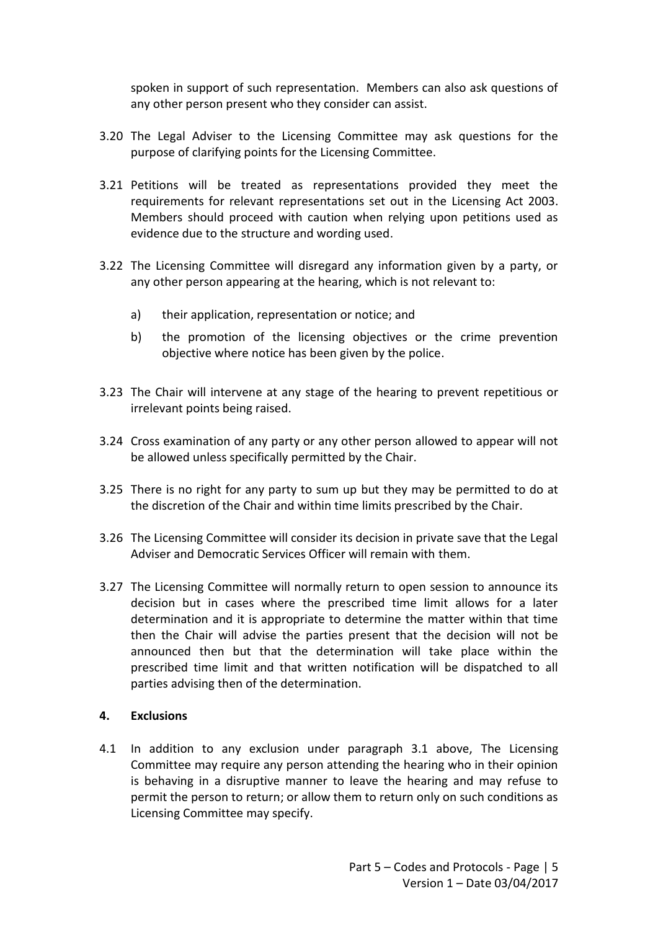spoken in support of such representation. Members can also ask questions of any other person present who they consider can assist.

- 3.20 The Legal Adviser to the Licensing Committee may ask questions for the purpose of clarifying points for the Licensing Committee.
- 3.21 Petitions will be treated as representations provided they meet the requirements for relevant representations set out in the Licensing Act 2003. Members should proceed with caution when relying upon petitions used as evidence due to the structure and wording used.
- 3.22 The Licensing Committee will disregard any information given by a party, or any other person appearing at the hearing, which is not relevant to:
	- a) their application, representation or notice; and
	- b) the promotion of the licensing objectives or the crime prevention objective where notice has been given by the police.
- 3.23 The Chair will intervene at any stage of the hearing to prevent repetitious or irrelevant points being raised.
- 3.24 Cross examination of any party or any other person allowed to appear will not be allowed unless specifically permitted by the Chair.
- 3.25 There is no right for any party to sum up but they may be permitted to do at the discretion of the Chair and within time limits prescribed by the Chair.
- 3.26 The Licensing Committee will consider its decision in private save that the Legal Adviser and Democratic Services Officer will remain with them.
- 3.27 The Licensing Committee will normally return to open session to announce its decision but in cases where the prescribed time limit allows for a later determination and it is appropriate to determine the matter within that time then the Chair will advise the parties present that the decision will not be announced then but that the determination will take place within the prescribed time limit and that written notification will be dispatched to all parties advising then of the determination.

## **4. Exclusions**

4.1 In addition to any exclusion under paragraph 3.1 above, The Licensing Committee may require any person attending the hearing who in their opinion is behaving in a disruptive manner to leave the hearing and may refuse to permit the person to return; or allow them to return only on such conditions as Licensing Committee may specify.